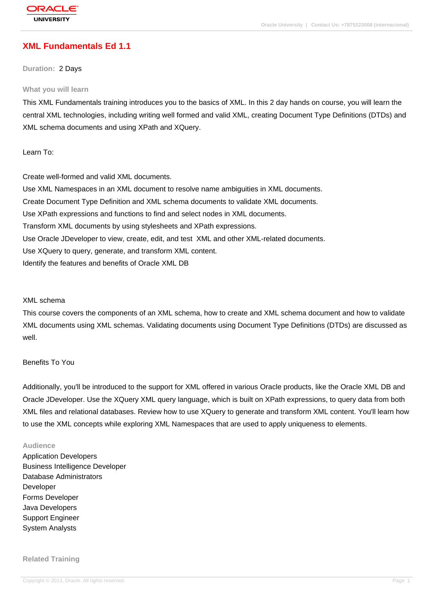## **[XML Fundame](http://education.oracle.com/pls/web_prod-plq-dad/db_pages.getpage?page_id=3)ntals Ed 1.1**

#### **Duration:** 2 Days

#### **What you will learn**

This XML Fundamentals training introduces you to the basics of XML. In this 2 day hands on course, you will learn the central XML technologies, including writing well formed and valid XML, creating Document Type Definitions (DTDs) and XML schema documents and using XPath and XQuery.

### Learn To:

Create well-formed and valid XML documents. Use XML Namespaces in an XML document to resolve name ambiguities in XML documents. Create Document Type Definition and XML schema documents to validate XML documents. Use XPath expressions and functions to find and select nodes in XML documents. Transform XML documents by using stylesheets and XPath expressions. Use Oracle JDeveloper to view, create, edit, and test XML and other XML-related documents. Use XQuery to query, generate, and transform XML content. Identify the features and benefits of Oracle XML DB

#### XML schema

This course covers the components of an XML schema, how to create and XML schema document and how to validate XML documents using XML schemas. Validating documents using Document Type Definitions (DTDs) are discussed as well.

## Benefits To You

Additionally, you'll be introduced to the support for XML offered in various Oracle products, like the Oracle XML DB and Oracle JDeveloper. Use the XQuery XML query language, which is built on XPath expressions, to query data from both XML files and relational databases. Review how to use XQuery to generate and transform XML content. You'll learn how to use the XML concepts while exploring XML Namespaces that are used to apply uniqueness to elements.

#### **Audience**

Application Developers Business Intelligence Developer Database Administrators Developer Forms Developer Java Developers Support Engineer System Analysts

#### **Related Training**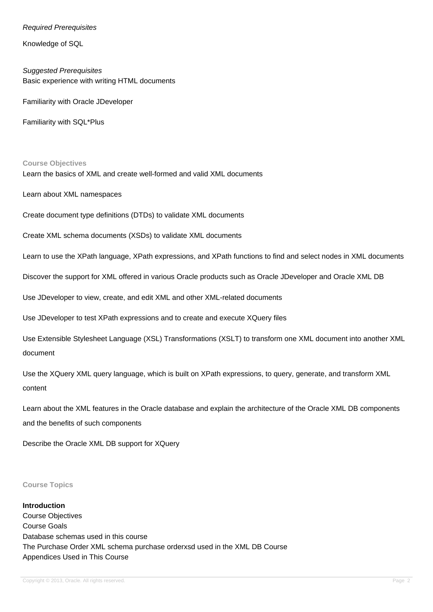## Required Prerequisites

Knowledge of SQL

Suggested Prerequisites Basic experience with writing HTML documents

Familiarity with Oracle JDeveloper

Familiarity with SQL\*Plus

**Course Objectives**

Learn the basics of XML and create well-formed and valid XML documents

Learn about XML namespaces

Create document type definitions (DTDs) to validate XML documents

Create XML schema documents (XSDs) to validate XML documents

Learn to use the XPath language, XPath expressions, and XPath functions to find and select nodes in XML documents

Discover the support for XML offered in various Oracle products such as Oracle JDeveloper and Oracle XML DB

Use JDeveloper to view, create, and edit XML and other XML-related documents

Use JDeveloper to test XPath expressions and to create and execute XQuery files

Use Extensible Stylesheet Language (XSL) Transformations (XSLT) to transform one XML document into another XML document

Use the XQuery XML query language, which is built on XPath expressions, to query, generate, and transform XML content

Learn about the XML features in the Oracle database and explain the architecture of the Oracle XML DB components and the benefits of such components

Describe the Oracle XML DB support for XQuery

#### **Course Topics**

**Introduction** Course Objectives Course Goals Database schemas used in this course The Purchase Order XML schema purchase orderxsd used in the XML DB Course Appendices Used in This Course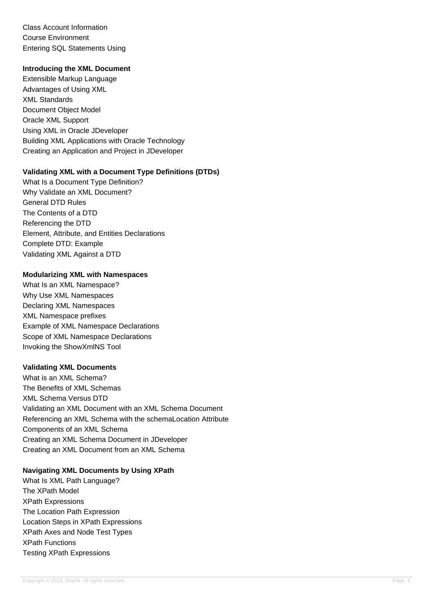Class Account Information Course Environment Entering SQL Statements Using

## **Introducing the XML Document**

Extensible Markup Language Advantages of Using XML XML Standards Document Object Model Oracle XML Support Using XML in Oracle JDeveloper Building XML Applications with Oracle Technology Creating an Application and Project in JDeveloper

## **Validating XML with a Document Type Definitions (DTDs)**

What Is a Document Type Definition? Why Validate an XML Document? General DTD Rules The Contents of a DTD Referencing the DTD Element, Attribute, and Entities Declarations Complete DTD: Example Validating XML Against a DTD

## **Modularizing XML with Namespaces**

What Is an XML Namespace? Why Use XML Namespaces Declaring XML Namespaces XML Namespace prefixes Example of XML Namespace Declarations Scope of XML Namespace Declarations Invoking the ShowXmlNS Tool

## **Validating XML Documents**

What is an XML Schema? The Benefits of XML Schemas XML Schema Versus DTD Validating an XML Document with an XML Schema Document Referencing an XML Schema with the schemaLocation Attribute Components of an XML Schema Creating an XML Schema Document in JDeveloper Creating an XML Document from an XML Schema

## **Navigating XML Documents by Using XPath**

What Is XML Path Language? The XPath Model XPath Expressions The Location Path Expression Location Steps in XPath Expressions XPath Axes and Node Test Types XPath Functions Testing XPath Expressions